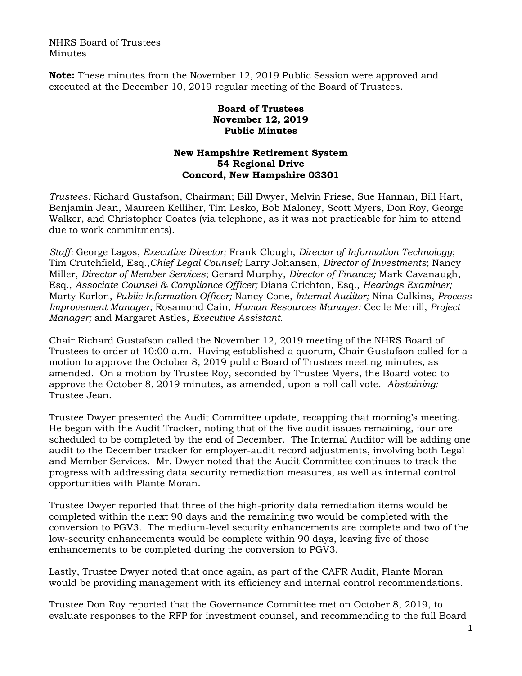NHRS Board of Trustees Minutes

**Note:** These minutes from the November 12, 2019 Public Session were approved and executed at the December 10, 2019 regular meeting of the Board of Trustees.

## **Board of Trustees November 12, 2019 Public Minutes**

## **New Hampshire Retirement System 54 Regional Drive Concord, New Hampshire 03301**

*Trustees:* Richard Gustafson, Chairman; Bill Dwyer, Melvin Friese, Sue Hannan, Bill Hart, Benjamin Jean, Maureen Kelliher, Tim Lesko, Bob Maloney, Scott Myers, Don Roy, George Walker, and Christopher Coates (via telephone, as it was not practicable for him to attend due to work commitments).

*Staff:* George Lagos, *Executive Director;* Frank Clough, *Director of Information Technology*; Tim Crutchfield, Esq.,*Chief Legal Counsel;* Larry Johansen, *Director of Investments*; Nancy Miller, *Director of Member Services*; Gerard Murphy, *Director of Finance;* Mark Cavanaugh, Esq., *Associate Counsel & Compliance Officer;* Diana Crichton, Esq., *Hearings Examiner;* Marty Karlon, *Public Information Officer;* Nancy Cone, *Internal Auditor;* Nina Calkins, *Process Improvement Manager;* Rosamond Cain, *Human Resources Manager;* Cecile Merrill, *Project Manager;* and Margaret Astles, *Executive Assistant.* 

Chair Richard Gustafson called the November 12, 2019 meeting of the NHRS Board of Trustees to order at 10:00 a.m. Having established a quorum, Chair Gustafson called for a motion to approve the October 8, 2019 public Board of Trustees meeting minutes, as amended. On a motion by Trustee Roy, seconded by Trustee Myers, the Board voted to approve the October 8, 2019 minutes, as amended, upon a roll call vote. *Abstaining:* Trustee Jean.

Trustee Dwyer presented the Audit Committee update, recapping that morning's meeting. He began with the Audit Tracker, noting that of the five audit issues remaining, four are scheduled to be completed by the end of December. The Internal Auditor will be adding one audit to the December tracker for employer-audit record adjustments, involving both Legal and Member Services. Mr. Dwyer noted that the Audit Committee continues to track the progress with addressing data security remediation measures, as well as internal control opportunities with Plante Moran.

Trustee Dwyer reported that three of the high-priority data remediation items would be completed within the next 90 days and the remaining two would be completed with the conversion to PGV3. The medium-level security enhancements are complete and two of the low-security enhancements would be complete within 90 days, leaving five of those enhancements to be completed during the conversion to PGV3.

Lastly, Trustee Dwyer noted that once again, as part of the CAFR Audit, Plante Moran would be providing management with its efficiency and internal control recommendations.

Trustee Don Roy reported that the Governance Committee met on October 8, 2019, to evaluate responses to the RFP for investment counsel, and recommending to the full Board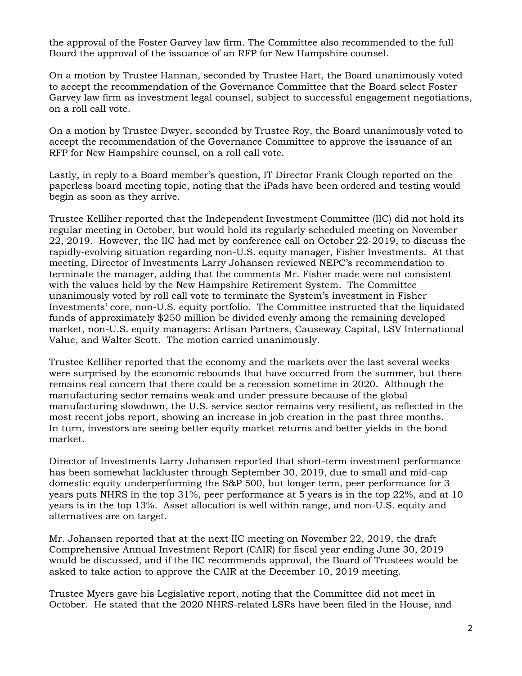the approval of the Foster Garvey law firm. The Committee also recommended to the full Board the approval of the issuance of an RFP for New Hampshire counsel.

On a motion by Trustee Hannan, seconded by Trustee Hart, the Board unanimously voted to accept the recommendation of the Governance Committee that the Board select Foster Garvey law firm as investment legal counsel, subject to successful engagement negotiations, on a roll call vote.

On a motion by Trustee Dwyer, seconded by Trustee Roy, the Board unanimously voted to accept the recommendation of the Governance Committee to approve the issuance of an RFP for New Hampshire counsel, on a roll call vote.

Lastly, in reply to a Board member's question, IT Director Frank Clough reported on the paperless board meeting topic, noting that the iPads have been ordered and testing would begin as soon as they arrive.

Trustee Kelliher reported that the Independent Investment Committee (IIC) did not hold its regular meeting in October, but would hold its regularly scheduled meeting on November 22, 2019. However, the IIC had met by conference call on October 22, 2019, to discuss the rapidly-evolving situation regarding non-U.S. equity manager, Fisher Investments. At that meeting, Director of Investments Larry Johansen reviewed NEPC's recommendation to terminate the manager, adding that the comments Mr. Fisher made were not consistent with the values held by the New Hampshire Retirement System. The Committee unanimously voted by roll call vote to terminate the System's investment in Fisher Investments' core, non-U.S. equity portfolio. The Committee instructed that the liquidated funds of approximately \$250 million be divided evenly among the remaining developed market, non-U.S. equity managers: Artisan Partners, Causeway Capital, LSV International Value, and Walter Scott. The motion carried unanimously.

Trustee Kelliher reported that the economy and the markets over the last several weeks were surprised by the economic rebounds that have occurred from the summer, but there remains real concern that there could be a recession sometime in 2020. Although the manufacturing sector remains weak and under pressure because of the global manufacturing slowdown, the U.S. service sector remains very resilient, as reflected in the most recent jobs report, showing an increase in job creation in the past three months. In turn, investors are seeing better equity market returns and better yields in the bond market.

Director of Investments Larry Johansen reported that short-term investment performance has been somewhat lackluster through September 30, 2019, due to small and mid-cap domestic equity underperforming the S&P 500, but longer term, peer performance for 3 years puts NHRS in the top 31%, peer performance at 5 years is in the top 22%, and at 10 years is in the top 13%. Asset allocation is well within range, and non-U.S. equity and alternatives are on target.

Mr. Johansen reported that at the next IIC meeting on November 22, 2019, the draft Comprehensive Annual Investment Report (CAIR) for fiscal year ending June 30, 2019 would be discussed, and if the IIC recommends approval, the Board of Trustees would be asked to take action to approve the CAIR at the December 10, 2019 meeting.

Trustee Myers gave his Legislative report, noting that the Committee did not meet in October. He stated that the 2020 NHRS-related LSRs have been filed in the House, and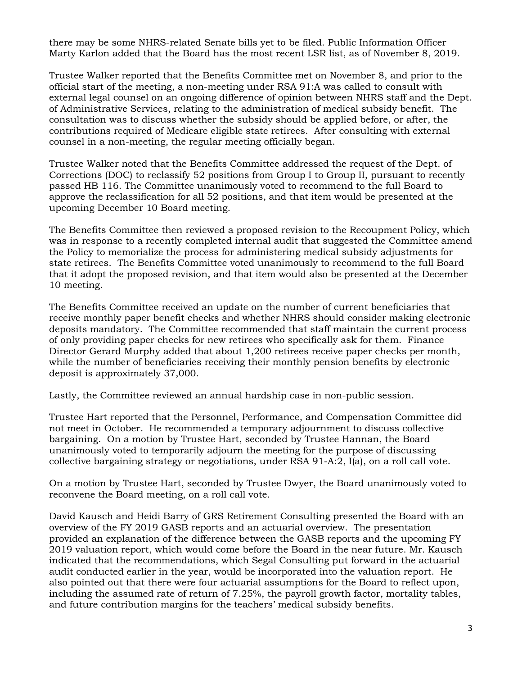there may be some NHRS-related Senate bills yet to be filed. Public Information Officer Marty Karlon added that the Board has the most recent LSR list, as of November 8, 2019.

Trustee Walker reported that the Benefits Committee met on November 8, and prior to the official start of the meeting, a non-meeting under RSA 91:A was called to consult with external legal counsel on an ongoing difference of opinion between NHRS staff and the Dept. of Administrative Services, relating to the administration of medical subsidy benefit. The consultation was to discuss whether the subsidy should be applied before, or after, the contributions required of Medicare eligible state retirees. After consulting with external counsel in a non-meeting, the regular meeting officially began.

Trustee Walker noted that the Benefits Committee addressed the request of the Dept. of Corrections (DOC) to reclassify 52 positions from Group I to Group II, pursuant to recently passed HB 116. The Committee unanimously voted to recommend to the full Board to approve the reclassification for all 52 positions, and that item would be presented at the upcoming December 10 Board meeting.

The Benefits Committee then reviewed a proposed revision to the Recoupment Policy, which was in response to a recently completed internal audit that suggested the Committee amend the Policy to memorialize the process for administering medical subsidy adjustments for state retirees. The Benefits Committee voted unanimously to recommend to the full Board that it adopt the proposed revision, and that item would also be presented at the December 10 meeting.

The Benefits Committee received an update on the number of current beneficiaries that receive monthly paper benefit checks and whether NHRS should consider making electronic deposits mandatory. The Committee recommended that staff maintain the current process of only providing paper checks for new retirees who specifically ask for them. Finance Director Gerard Murphy added that about 1,200 retirees receive paper checks per month, while the number of beneficiaries receiving their monthly pension benefits by electronic deposit is approximately 37,000.

Lastly, the Committee reviewed an annual hardship case in non-public session.

Trustee Hart reported that the Personnel, Performance, and Compensation Committee did not meet in October. He recommended a temporary adjournment to discuss collective bargaining. On a motion by Trustee Hart, seconded by Trustee Hannan, the Board unanimously voted to temporarily adjourn the meeting for the purpose of discussing collective bargaining strategy or negotiations, under RSA 91-A:2, I(a), on a roll call vote.

On a motion by Trustee Hart, seconded by Trustee Dwyer, the Board unanimously voted to reconvene the Board meeting, on a roll call vote.

David Kausch and Heidi Barry of GRS Retirement Consulting presented the Board with an overview of the FY 2019 GASB reports and an actuarial overview. The presentation provided an explanation of the difference between the GASB reports and the upcoming FY 2019 valuation report, which would come before the Board in the near future. Mr. Kausch indicated that the recommendations, which Segal Consulting put forward in the actuarial audit conducted earlier in the year, would be incorporated into the valuation report. He also pointed out that there were four actuarial assumptions for the Board to reflect upon, including the assumed rate of return of 7.25%, the payroll growth factor, mortality tables, and future contribution margins for the teachers' medical subsidy benefits.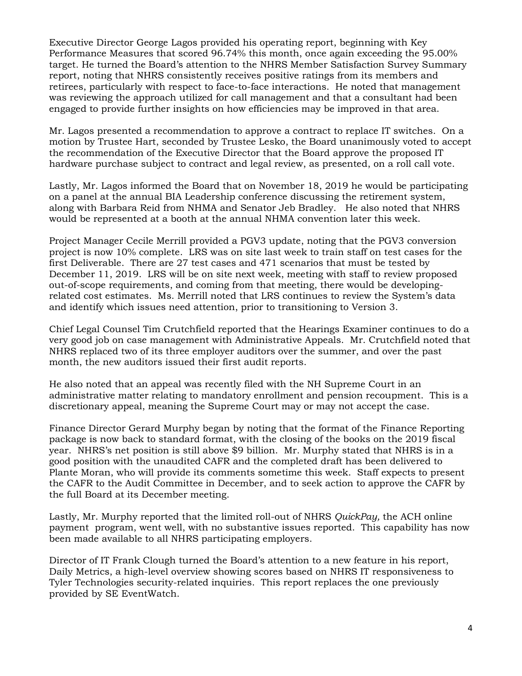Executive Director George Lagos provided his operating report, beginning with Key Performance Measures that scored 96.74% this month, once again exceeding the 95.00% target. He turned the Board's attention to the NHRS Member Satisfaction Survey Summary report, noting that NHRS consistently receives positive ratings from its members and retirees, particularly with respect to face-to-face interactions. He noted that management was reviewing the approach utilized for call management and that a consultant had been engaged to provide further insights on how efficiencies may be improved in that area.

Mr. Lagos presented a recommendation to approve a contract to replace IT switches. On a motion by Trustee Hart, seconded by Trustee Lesko, the Board unanimously voted to accept the recommendation of the Executive Director that the Board approve the proposed IT hardware purchase subject to contract and legal review, as presented, on a roll call vote.

Lastly, Mr. Lagos informed the Board that on November 18, 2019 he would be participating on a panel at the annual BIA Leadership conference discussing the retirement system, along with Barbara Reid from NHMA and Senator Jeb Bradley. He also noted that NHRS would be represented at a booth at the annual NHMA convention later this week.

Project Manager Cecile Merrill provided a PGV3 update, noting that the PGV3 conversion project is now 10% complete. LRS was on site last week to train staff on test cases for the first Deliverable. There are 27 test cases and 471 scenarios that must be tested by December 11, 2019. LRS will be on site next week, meeting with staff to review proposed out-of-scope requirements, and coming from that meeting, there would be developingrelated cost estimates. Ms. Merrill noted that LRS continues to review the System's data and identify which issues need attention, prior to transitioning to Version 3.

Chief Legal Counsel Tim Crutchfield reported that the Hearings Examiner continues to do a very good job on case management with Administrative Appeals. Mr. Crutchfield noted that NHRS replaced two of its three employer auditors over the summer, and over the past month, the new auditors issued their first audit reports.

He also noted that an appeal was recently filed with the NH Supreme Court in an administrative matter relating to mandatory enrollment and pension recoupment. This is a discretionary appeal, meaning the Supreme Court may or may not accept the case.

Finance Director Gerard Murphy began by noting that the format of the Finance Reporting package is now back to standard format, with the closing of the books on the 2019 fiscal year. NHRS's net position is still above \$9 billion. Mr. Murphy stated that NHRS is in a good position with the unaudited CAFR and the completed draft has been delivered to Plante Moran, who will provide its comments sometime this week. Staff expects to present the CAFR to the Audit Committee in December, and to seek action to approve the CAFR by the full Board at its December meeting.

Lastly, Mr. Murphy reported that the limited roll-out of NHRS *QuickPay,* the ACH online payment program, went well, with no substantive issues reported. This capability has now been made available to all NHRS participating employers.

Director of IT Frank Clough turned the Board's attention to a new feature in his report, Daily Metrics, a high-level overview showing scores based on NHRS IT responsiveness to Tyler Technologies security-related inquiries. This report replaces the one previously provided by SE EventWatch.